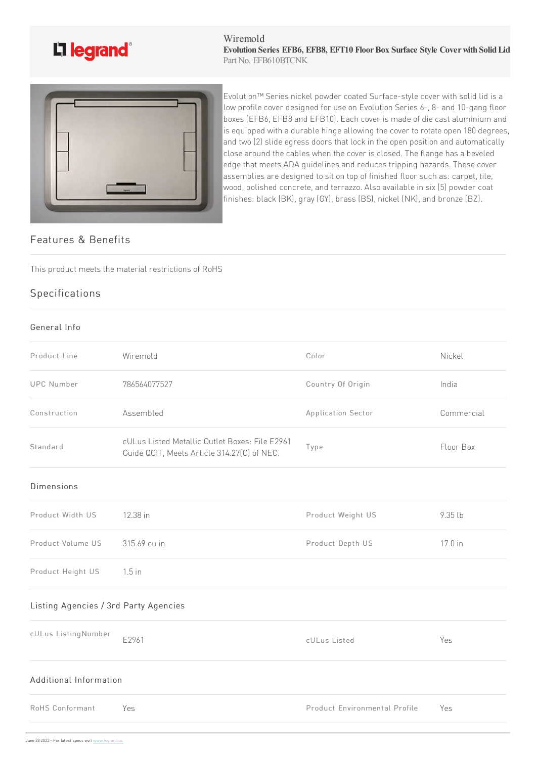

#### Wiremold **Evolution Series EFB6, EFB8, EFT10 FloorBox Surface Style Coverwith SolidLid** Part No. EFB610BTCNK



Evolution™ Series nickel powder coated Surface-style cover with solid lid is a low profile cover designed for use on Evolution Series 6-, 8- and 10-gang floor boxes (EFB6, EFB8 and EFB10). Each cover is made of die cast aluminium and is equipped with a durable hinge allowing the cover to rotate open 180 degrees, and two (2) slide egress doors that lock in the open position and automatically close around the cables when the cover is closed. The flange has a beveled  $\vert$ edge that meets ADA guidelines and reduces tripping hazards. These cover assemblies are designed to sit on top of finished floor such as: carpet, tile, wood, polished concrete, and terrazzo. Also available in six (5) powder coat finishes: black (BK), gray (GY), brass (BS), nickel (NK), and bronze (BZ).

## Features & Benefits

This product meets the material restrictions of RoHS

# Specifications

### General Info

| Wiremold<br>Color<br>Nickel<br>Country Of Origin<br>786564077527<br>India<br>Assembled<br>Commercial<br>Application Sector<br>cULus Listed Metallic Outlet Boxes: File E2961<br>Floor Box<br>Type<br>Guide QCIT, Meets Article 314.27(C) of NEC.<br>Product Weight US<br>12.38 in<br>9.35 lb<br>315.69 cu in<br>Product Depth US<br>17.0 in<br>$1.5$ in<br>E2961<br>Yes<br>cULus Listed<br>Additional Information |                                       |  |  |  |  |
|-------------------------------------------------------------------------------------------------------------------------------------------------------------------------------------------------------------------------------------------------------------------------------------------------------------------------------------------------------------------------------------------------------------------|---------------------------------------|--|--|--|--|
|                                                                                                                                                                                                                                                                                                                                                                                                                   | Product Line                          |  |  |  |  |
|                                                                                                                                                                                                                                                                                                                                                                                                                   | <b>UPC Number</b>                     |  |  |  |  |
|                                                                                                                                                                                                                                                                                                                                                                                                                   | Construction                          |  |  |  |  |
|                                                                                                                                                                                                                                                                                                                                                                                                                   | Standard                              |  |  |  |  |
|                                                                                                                                                                                                                                                                                                                                                                                                                   | <b>Dimensions</b>                     |  |  |  |  |
|                                                                                                                                                                                                                                                                                                                                                                                                                   | Product Width US                      |  |  |  |  |
|                                                                                                                                                                                                                                                                                                                                                                                                                   | Product Volume US                     |  |  |  |  |
|                                                                                                                                                                                                                                                                                                                                                                                                                   | Product Height US                     |  |  |  |  |
|                                                                                                                                                                                                                                                                                                                                                                                                                   | Listing Agencies / 3rd Party Agencies |  |  |  |  |
|                                                                                                                                                                                                                                                                                                                                                                                                                   | cULus ListingNumber                   |  |  |  |  |
|                                                                                                                                                                                                                                                                                                                                                                                                                   |                                       |  |  |  |  |